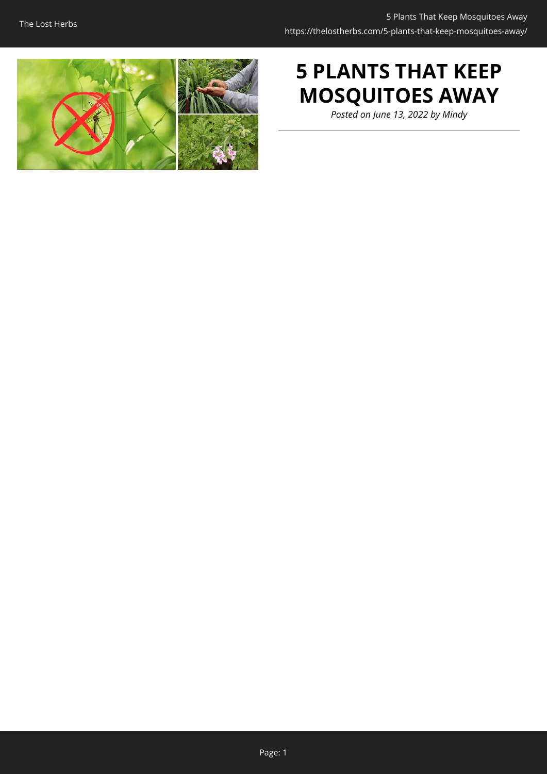

# **5 PLANTS THAT KEEP MOSQUITOES AWAY**

*Posted on June 13, 2022 by Mindy*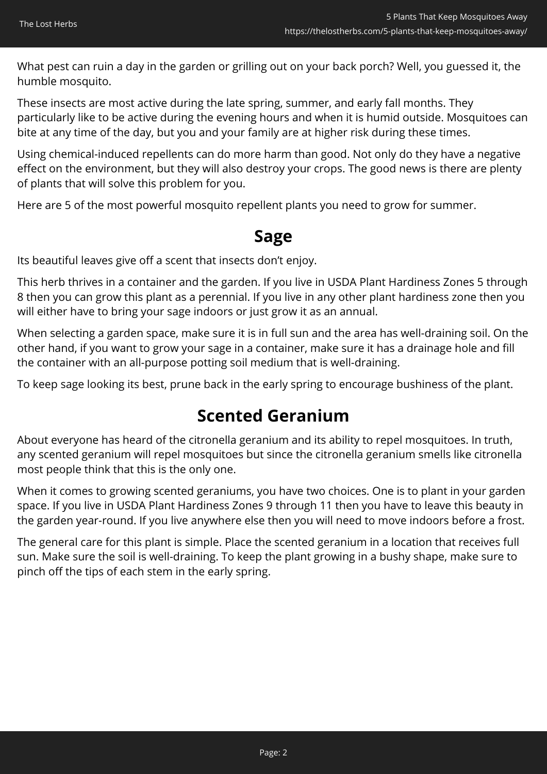What pest can ruin a day in the garden or grilling out on your back porch? Well, you guessed it, the humble mosquito.

These insects are most active during the late spring, summer, and early fall months. They particularly like to be active during the evening hours and when it is humid outside. Mosquitoes can bite at any time of the day, but you and your family are at higher risk during these times.

Using chemical-induced repellents can do more harm than good. Not only do they have a negative effect on the environment, but they will also destroy your crops. The good news is there are plenty of plants that will solve this problem for you.

Here are 5 of the most powerful mosquito repellent plants you need to grow for summer.

## **Sage**

Its beautiful leaves give off a scent that insects don't enjoy.

This herb thrives in a container and the garden. If you live in USDA Plant Hardiness Zones 5 through 8 then you can grow this plant as a perennial. If you live in any other plant hardiness zone then you will either have to bring your sage indoors or just grow it as an annual.

When selecting a garden space, make sure it is in full sun and the area has well-draining soil. On the other hand, if you want to grow your sage in a container, make sure it has a drainage hole and fill the container with an all-purpose potting soil medium that is well-draining.

To keep sage looking its best, prune back in the early spring to encourage bushiness of the plant.

## **Scented Geranium**

About everyone has heard of the citronella geranium and its ability to repel mosquitoes. In truth, any scented geranium will repel mosquitoes but since the citronella geranium smells like citronella most people think that this is the only one.

When it comes to growing scented geraniums, you have two choices. One is to plant in your garden space. If you live in USDA Plant Hardiness Zones 9 through 11 then you have to leave this beauty in the garden year-round. If you live anywhere else then you will need to move indoors before a frost.

The general care for this plant is simple. Place the scented geranium in a location that receives full sun. Make sure the soil is well-draining. To keep the plant growing in a bushy shape, make sure to pinch off the tips of each stem in the early spring.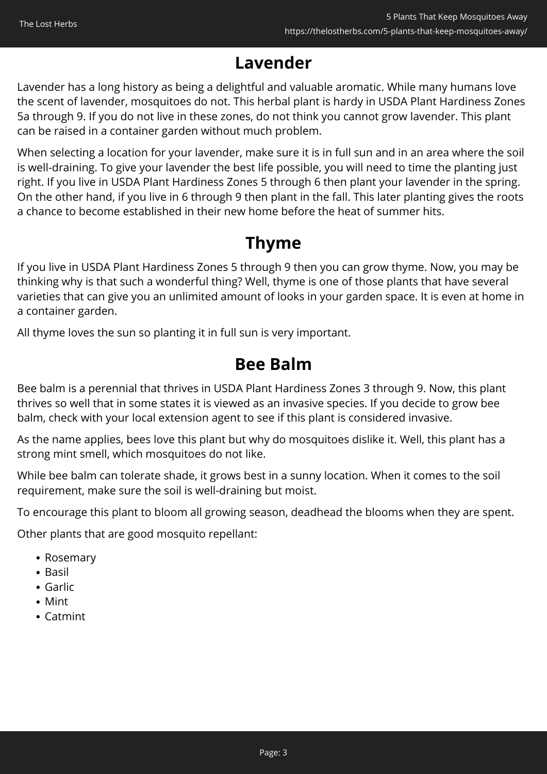## **Lavender**

Lavender has a long history as being a delightful and valuable aromatic. While many humans love the scent of lavender, mosquitoes do not. This herbal plant is hardy in USDA Plant Hardiness Zones 5a through 9. If you do not live in these zones, do not think you cannot grow lavender. This plant can be raised in a container garden without much problem.

When selecting a location for your lavender, make sure it is in full sun and in an area where the soil is well-draining. To give your lavender the best life possible, you will need to time the planting just right. If you live in USDA Plant Hardiness Zones 5 through 6 then plant your lavender in the spring. On the other hand, if you live in 6 through 9 then plant in the fall. This later planting gives the roots a chance to become established in their new home before the heat of summer hits.

## **Thyme**

If you live in USDA Plant Hardiness Zones 5 through 9 then you can grow thyme. Now, you may be thinking why is that such a wonderful thing? Well, thyme is one of those plants that have several varieties that can give you an unlimited amount of looks in your garden space. It is even at home in a container garden.

All thyme loves the sun so planting it in full sun is very important.

## **Bee Balm**

Bee balm is a perennial that thrives in USDA Plant Hardiness Zones 3 through 9. Now, this plant thrives so well that in some states it is viewed as an invasive species. If you decide to grow bee balm, check with your local extension agent to see if this plant is considered invasive.

As the name applies, bees love this plant but why do mosquitoes dislike it. Well, this plant has a strong mint smell, which mosquitoes do not like.

While bee balm can tolerate shade, it grows best in a sunny location. When it comes to the soil requirement, make sure the soil is well-draining but moist.

To encourage this plant to bloom all growing season, deadhead the blooms when they are spent.

Other plants that are good mosquito repellant:

- Rosemary
- $\bullet$  Basil
- Garlic
- Mint
- Catmint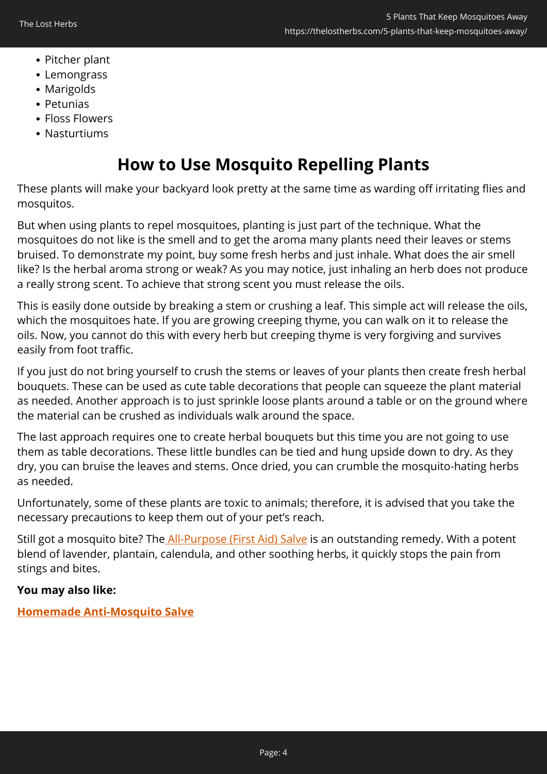- Pitcher plant
- Lemongrass
- Marigolds
- Petunias
- Floss Flowers
- Nasturtiums

## **How to Use Mosquito Repelling Plants**

These plants will make your backyard look pretty at the same time as warding off irritating flies and mosquitos.

But when using plants to repel mosquitoes, planting is just part of the technique. What the mosquitoes do not like is the smell and to get the aroma many plants need their leaves or stems bruised. To demonstrate my point, buy some fresh herbs and just inhale. What does the air smell like? Is the herbal aroma strong or weak? As you may notice, just inhaling an herb does not produce a really strong scent. To achieve that strong scent you must release the oils.

This is easily done outside by breaking a stem or crushing a leaf. This simple act will release the oils, which the mosquitoes hate. If you are growing creeping thyme, you can walk on it to release the oils. Now, you cannot do this with every herb but creeping thyme is very forgiving and survives easily from foot traffic.

If you just do not bring yourself to crush the stems or leaves of your plants then create fresh herbal bouquets. These can be used as cute table decorations that people can squeeze the plant material as needed. Another approach is to just sprinkle loose plants around a table or on the ground where the material can be crushed as individuals walk around the space.

The last approach requires one to create herbal bouquets but this time you are not going to use them as table decorations. These little bundles can be tied and hung upside down to dry. As they dry, you can bruise the leaves and stems. Once dried, you can crumble the mosquito-hating herbs as needed.

Unfortunately, some of these plants are toxic to animals; therefore, it is advised that you take the necessary precautions to keep them out of your pet's reach.

Still got a mosquito bite? The [All-Purpose \(First Aid\) Salve](https://nicolesapothecary.com/collections/all/products/all-purpose-salve?rfsn=5642246.05c3d29&utm_source=refersion&utm_medium=affiliate&utm_campaign=5642246.05c3d29&subid=C02mosquitosAPS) is an outstanding remedy. With a potent blend of lavender, plantain, calendula, and other soothing herbs, it quickly stops the pain from stings and bites.

### **You may also like:**

**[Homemade Anti-Mosquito Salve](https://thelostherbs.com/homemade-anti-mosquito-salve/)**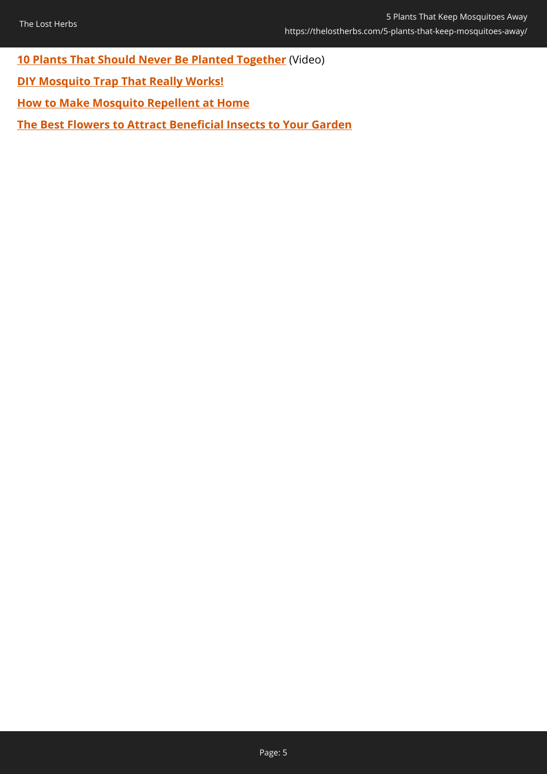**[10 Plants That Should Never Be Planted Together](https://hop.clickbank.net/?affiliate=easycellar&vendor=sbackyard&tid=C02MosquitoPlantsMK)** (Video)

- **[DIY Mosquito Trap That Really Works!](https://thelostherbs.com/diy-mosquito-trap-that-really-works/)**
- **[How to Make Mosquito Repellent at Home](https://thelostherbs.com/how-to-make-mosquito-repellent-at-home/)**

**[The Best Flowers to Attract Beneficial Insects to Your Garden](https://thelostherbs.com/the-best-flowers-to-attract-beneficial-insects-to-your-garden/)**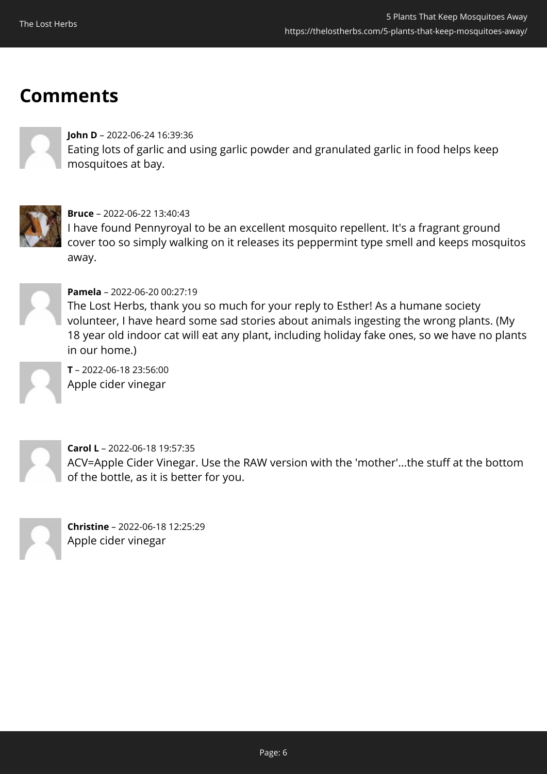## **Comments**

#### **John D** – 2022-06-24 16:39:36

Eating lots of garlic and using garlic powder and granulated garlic in food helps keep mosquitoes at bay.



#### **Bruce** – 2022-06-22 13:40:43

I have found Pennyroyal to be an excellent mosquito repellent. It's a fragrant ground cover too so simply walking on it releases its peppermint type smell and keeps mosquitos away.



#### **Pamela** – 2022-06-20 00:27:19

The Lost Herbs, thank you so much for your reply to Esther! As a humane society volunteer, I have heard some sad stories about animals ingesting the wrong plants. (My 18 year old indoor cat will eat any plant, including holiday fake ones, so we have no plants in our home.)

**T** – 2022-06-18 23:56:00 Apple cider vinegar



**Carol L** – 2022-06-18 19:57:35 ACV=Apple Cider Vinegar. Use the RAW version with the 'mother'...the stuff at the bottom of the bottle, as it is better for you.

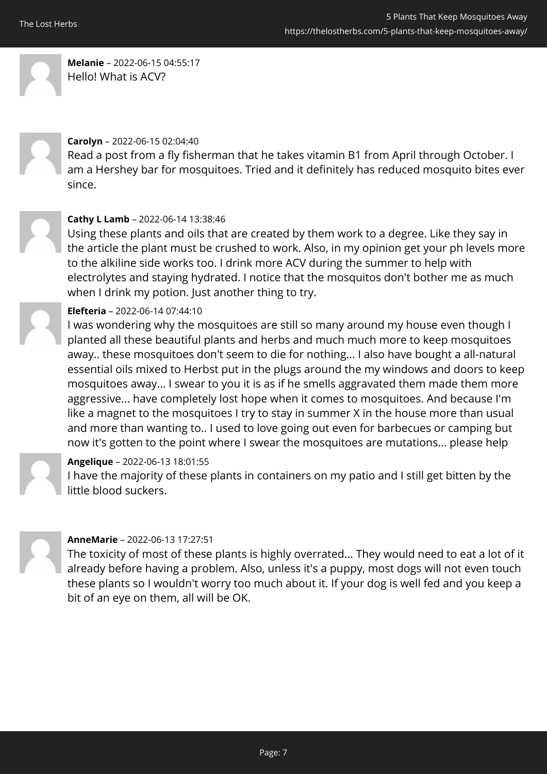

**Melanie** – 2022-06-15 04:55:17 Hello! What is ACV?



#### **Carolyn** – 2022-06-15 02:04:40

Read a post from a fly fisherman that he takes vitamin B1 from April through October. I am a Hershey bar for mosquitoes. Tried and it definitely has reduced mosquito bites ever since.



#### **Cathy L Lamb** – 2022-06-14 13:38:46

Using these plants and oils that are created by them work to a degree. Like they say in the article the plant must be crushed to work. Also, in my opinion get your ph levels more to the alkiline side works too. I drink more ACV during the summer to help with electrolytes and staying hydrated. I notice that the mosquitos don't bother me as much when I drink my potion. Just another thing to try.



### **Elefteria** – 2022-06-14 07:44:10

I was wondering why the mosquitoes are still so many around my house even though I planted all these beautiful plants and herbs and much much more to keep mosquitoes away.. these mosquitoes don't seem to die for nothing... I also have bought a all-natural essential oils mixed to Herbst put in the plugs around the my windows and doors to keep mosquitoes away... I swear to you it is as if he smells aggravated them made them more aggressive... have completely lost hope when it comes to mosquitoes. And because I'm like a magnet to the mosquitoes I try to stay in summer X in the house more than usual and more than wanting to.. I used to love going out even for barbecues or camping but now it's gotten to the point where I swear the mosquitoes are mutations... please help

#### **Angelique** – 2022-06-13 18:01:55

I have the majority of these plants in containers on my patio and I still get bitten by the little blood suckers.



#### **AnneMarie** – 2022-06-13 17:27:51

The toxicity of most of these plants is highly overrated... They would need to eat a lot of it already before having a problem. Also, unless it's a puppy, most dogs will not even touch these plants so I wouldn't worry too much about it. If your dog is well fed and you keep a bit of an eye on them, all will be OK.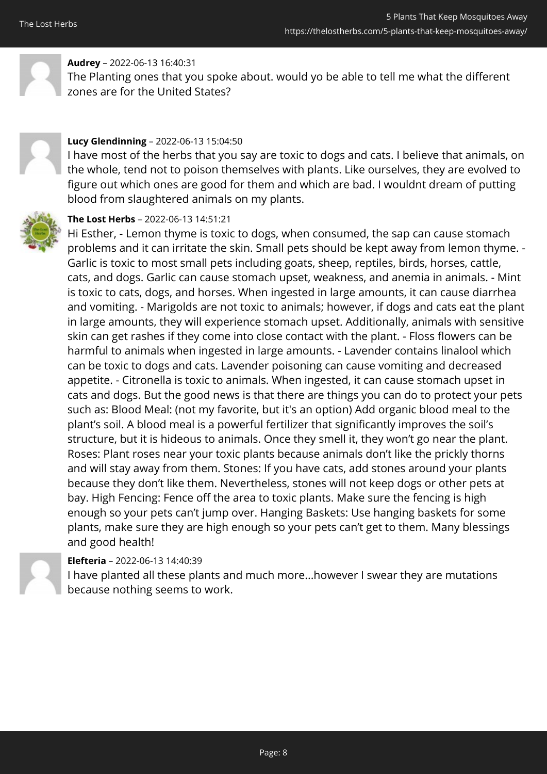

### **Audrey** – 2022-06-13 16:40:31

The Planting ones that you spoke about. would yo be able to tell me what the different zones are for the United States?



#### **Lucy Glendinning** – 2022-06-13 15:04:50

I have most of the herbs that you say are toxic to dogs and cats. I believe that animals, on the whole, tend not to poison themselves with plants. Like ourselves, they are evolved to figure out which ones are good for them and which are bad. I wouldnt dream of putting blood from slaughtered animals on my plants.



### **The Lost Herbs** – 2022-06-13 14:51:21

Hi Esther, - Lemon thyme is toxic to dogs, when consumed, the sap can cause stomach problems and it can irritate the skin. Small pets should be kept away from lemon thyme. - Garlic is toxic to most small pets including goats, sheep, reptiles, birds, horses, cattle, cats, and dogs. Garlic can cause stomach upset, weakness, and anemia in animals. - Mint is toxic to cats, dogs, and horses. When ingested in large amounts, it can cause diarrhea and vomiting. - Marigolds are not toxic to animals; however, if dogs and cats eat the plant in large amounts, they will experience stomach upset. Additionally, animals with sensitive skin can get rashes if they come into close contact with the plant. - Floss flowers can be harmful to animals when ingested in large amounts. - Lavender contains linalool which can be toxic to dogs and cats. Lavender poisoning can cause vomiting and decreased appetite. - Citronella is toxic to animals. When ingested, it can cause stomach upset in cats and dogs. But the good news is that there are things you can do to protect your pets such as: Blood Meal: (not my favorite, but it's an option) Add organic blood meal to the plant's soil. A blood meal is a powerful fertilizer that significantly improves the soil's structure, but it is hideous to animals. Once they smell it, they won't go near the plant. Roses: Plant roses near your toxic plants because animals don't like the prickly thorns and will stay away from them. Stones: If you have cats, add stones around your plants because they don't like them. Nevertheless, stones will not keep dogs or other pets at bay. High Fencing: Fence off the area to toxic plants. Make sure the fencing is high enough so your pets can't jump over. Hanging Baskets: Use hanging baskets for some plants, make sure they are high enough so your pets can't get to them. Many blessings and good health!

### **Elefteria** – 2022-06-13 14:40:39

I have planted all these plants and much more...however I swear they are mutations because nothing seems to work.